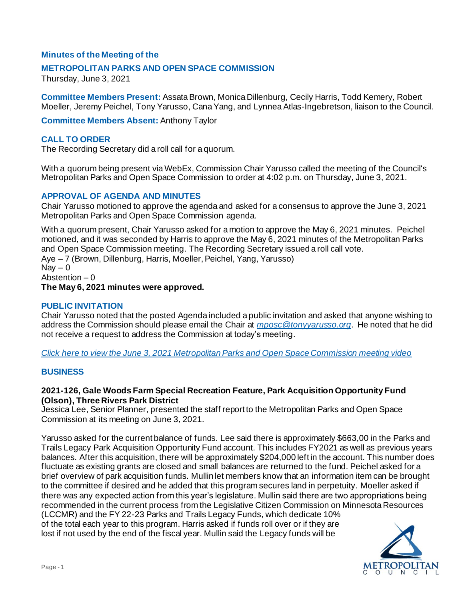# **Minutes of the Meeting of the**

### **METROPOLITAN PARKS AND OPEN SPACE COMMISSION**

Thursday, June 3, 2021

**Committee Members Present:** Assata Brown, Monica Dillenburg, Cecily Harris, Todd Kemery, Robert Moeller, Jeremy Peichel, Tony Yarusso, Cana Yang, and Lynnea Atlas-Ingebretson, liaison to the Council.

**Committee Members Absent:** Anthony Taylor

## **CALL TO ORDER**

The Recording Secretary did a roll call for a quorum.

With a quorum being present via WebEx, Commission Chair Yarusso called the meeting of the Council's Metropolitan Parks and Open Space Commission to order at 4:02 p.m. on Thursday, June 3, 2021.

### **APPROVAL OF AGENDA AND MINUTES**

Chair Yarusso motioned to approve the agenda and asked for a consensus to approve the June 3, 2021 Metropolitan Parks and Open Space Commission agenda.

With a quorum present, Chair Yarusso asked for a motion to approve the May 6, 2021 minutes. Peichel motioned, and it was seconded by Harris to approve the May 6, 2021 minutes of the Metropolitan Parks and Open Space Commission meeting. The Recording Secretary issued a roll call vote. Aye – 7 (Brown, Dillenburg, Harris, Moeller, Peichel, Yang, Yarusso)  $\text{Nav} - 0$ Abstention – 0 **The May 6, 2021 minutes were approved.**

#### **PUBLIC INVITATION**

Chair Yarusso noted that the posted Agenda included a public invitation and asked that anyone wishing to address the Commission should please email the Chair at *[mposc@tonyyarusso.org](mailto:mposc@tonyyarusso.org)*. He noted that he did not receive a request to address the Commission at today's meeting.

*[Click here to view the June 3, 2021 Metropolitan Parks and Open Space Commission meeting video](https://metrocouncil.org/getdoc/e7fbe84c-590f-4d49-b23d-dfd361edf4d4/Agenda.aspx)*

#### **BUSINESS**

### **2021-126, Gale Woods Farm Special Recreation Feature, Park Acquisition Opportunity Fund (Olson), Three Rivers Park District**

Jessica Lee, Senior Planner, presented the staff report to the Metropolitan Parks and Open Space Commission at its meeting on June 3, 2021.

Yarusso asked for the current balance of funds. Lee said there is approximately \$663,00 in the Parks and Trails Legacy Park Acquisition Opportunity Fund account. This includes FY2021 as well as previous years balances. After this acquisition, there will be approximately \$204,000 left in the account. This number does fluctuate as existing grants are closed and small balances are returned to the fund. Peichel asked for a brief overview of park acquisition funds. Mullin let members know that an information item can be brought to the committee if desired and he added that this program secures land in perpetuity. Moeller asked if there was any expected action from this year's legislature. Mullin said there are two appropriations being recommended in the current process from the Legislative Citizen Commission on Minnesota Resources (LCCMR) and the FY 22-23 Parks and Trails Legacy Funds, which dedicate 10%

of the total each year to this program. Harris asked if funds roll over or if they are lost if not used by the end of the fiscal year. Mullin said the Legacy funds will be

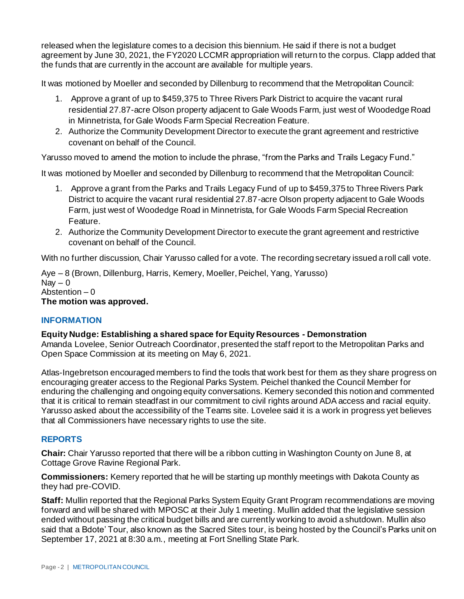released when the legislature comes to a decision this biennium. He said if there is not a budget agreement by June 30, 2021, the FY2020 LCCMR appropriation will return to the corpus. Clapp added that the funds that are currently in the account are available for multiple years.

It was motioned by Moeller and seconded by Dillenburg to recommend that the Metropolitan Council:

- 1. Approve a grant of up to \$459,375 to Three Rivers Park District to acquire the vacant rural residential 27.87-acre Olson property adjacent to Gale Woods Farm, just west of Woodedge Road in Minnetrista, for Gale Woods Farm Special Recreation Feature.
- 2. Authorize the Community Development Director to execute the grant agreement and restrictive covenant on behalf of the Council.

Yarusso moved to amend the motion to include the phrase, "from the Parks and Trails Legacy Fund."

It was motioned by Moeller and seconded by Dillenburg to recommend that the Metropolitan Council:

- 1. Approve a grant from the Parks and Trails Legacy Fund of up to \$459,375 to Three Rivers Park District to acquire the vacant rural residential 27.87-acre Olson property adjacent to Gale Woods Farm, just west of Woodedge Road in Minnetrista, for Gale Woods Farm Special Recreation Feature.
- 2. Authorize the Community Development Director to execute the grant agreement and restrictive covenant on behalf of the Council.

With no further discussion, Chair Yarusso called for a vote. The recording secretary issued a roll call vote.

Aye – 8 (Brown, Dillenburg, Harris, Kemery, Moeller, Peichel, Yang, Yarusso) Nav  $-0$ Abstention  $-0$ **The motion was approved.**

# **INFORMATION**

**Equity Nudge: Establishing a shared space for Equity Resources - Demonstration** Amanda Lovelee, Senior Outreach Coordinator, presented the staff report to the Metropolitan Parks and Open Space Commission at its meeting on May 6, 2021.

Atlas-Ingebretson encouraged members to find the tools that work best for them as they share progress on encouraging greater access to the Regional Parks System. Peichel thanked the Council Member for enduring the challenging and ongoing equity conversations. Kemery seconded this notion and commented that it is critical to remain steadfast in our commitment to civil rights around ADA access and racial equity. Yarusso asked about the accessibility of the Teams site. Lovelee said it is a work in progress yet believes that all Commissioners have necessary rights to use the site.

# **REPORTS**

**Chair:** Chair Yarusso reported that there will be a ribbon cutting in Washington County on June 8, at Cottage Grove Ravine Regional Park.

**Commissioners:** Kemery reported that he will be starting up monthly meetings with Dakota County as they had pre-COVID.

**Staff:** Mullin reported that the Regional Parks System Equity Grant Program recommendations are moving forward and will be shared with MPOSC at their July 1 meeting. Mullin added that the legislative session ended without passing the critical budget bills and are currently working to avoid a shutdown. Mullin also said that a Bdote' Tour, also known as the Sacred Sites tour, is being hosted by the Council's Parks unit on September 17, 2021 at 8:30 a.m., meeting at Fort Snelling State Park.